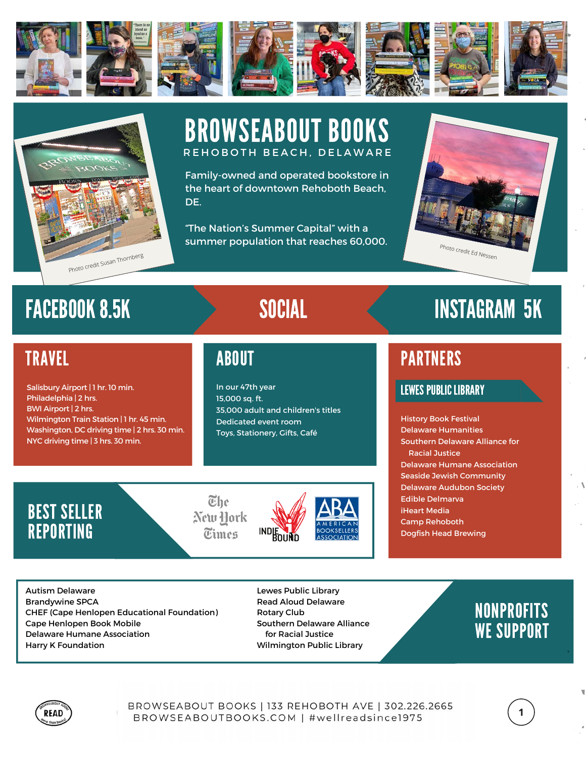



## BROWSEABOUT BOOKS R E H O B O T H B E A C H . D E L A W A R E

Family-owned and operated bookstore in the heart of downtown Rehoboth Beach, DE.

"The Nation's Summer Capital" with a summer population that reaches 60,000.



## **TRAVEL**

Salisbury Airport | 1 hr. 10 min. Philadelphia | 2 hrs. BWI Airport | 2 hrs. Wilmington Train Station | 1 hr. 45 min. Washington, DC driving time | 2 hrs. 30 min. NYC driving time | 3 hrs. 30 min.

In our 47th year 15,000 sq. ft. 35,000 adult and children's titles Dedicated event room Toys, Stationery, Gifts, Café

# FACEBOOK 8.5K SOCIAL SERVICES SOCIAL SOCIAL SACEBOOK 8.5K

## ABOUT A RESERVE AND LODGED AND RESERVE AND LODGED AT A RESERVE AND LODGED AT A PARTNERS

### LEWES PUBLIC LIBRARY

History Book Festival Delaware Humanities Southern Delaware Alliance for Racial Justice Delaware Humane Association Seaside Jewish Community Delaware Audubon Society Edible Delmarva iHeart Media Camp Rehoboth Dogfish Head Brewing

## BEST SELLER **REPORTING**





Autism Delaware Brandywine SPCA CHEF (Cape Henlopen Educational Foundation) Cape Henlopen Book Mobile Delaware Humane Association Harry K Foundation

Lewes Public Library Read Aloud Delaware Rotary Club Southern Delaware Alliance for Racial Justice Wilmington Public Library

## NONPROFITS WE SUPPORT

 $\mathbf 1$ 



BROWSEABOUT BOOKS | 133 REHOBOTH AVE | 302.226.2665 BROWSEABOUTBOOKS.COM | #wellreadsince1975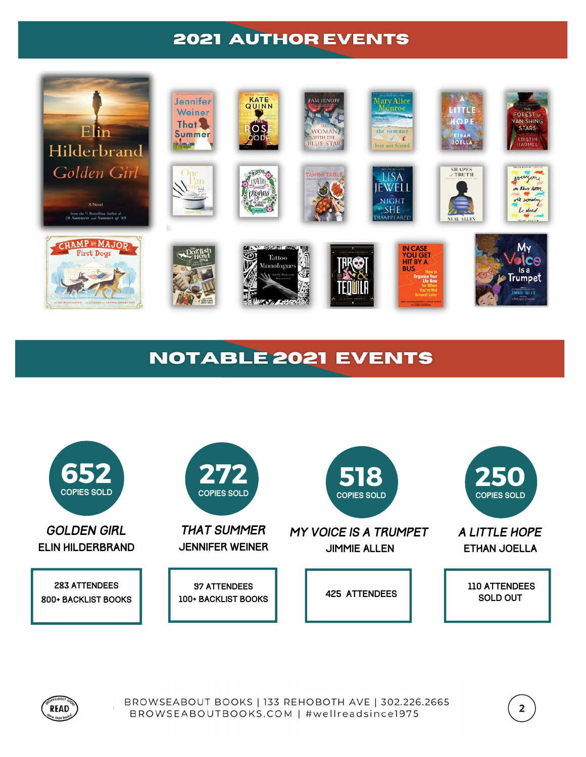

## **NOTABLE 2021 EVENTS**





BROWSEABOUT BOOKS | 133 REHOBOTH AVE | 302.226.2665 BROWSEABOUTBOOKS.COM | #wellreadsince1975

 $2\overline{ }$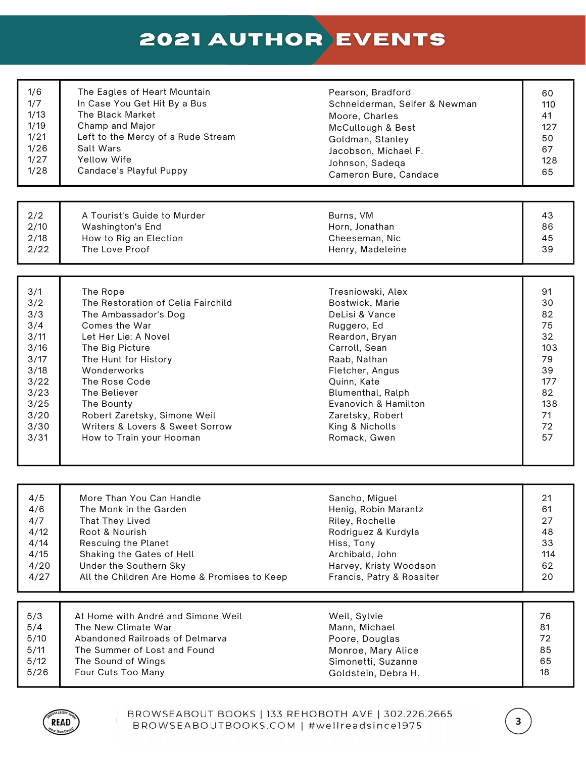| 1/6  | The Eagles of Heart Mountain                 | Pearson, Bradford             | 60  |
|------|----------------------------------------------|-------------------------------|-----|
| 1/7  | In Case You Get Hit By a Bus                 | Schneiderman, Seifer & Newman | 110 |
| 1/13 | The Black Market                             | Moore, Charles                | 41  |
| 1/19 | Champ and Major                              | McCullough & Best             | 127 |
| 1/21 | Left to the Mercy of a Rude Stream           | Goldman, Stanley              | 50  |
| 1/26 | Salt Wars                                    | Jacobson, Michael F.          | 67  |
| 1/27 | Yellow Wife                                  | Johnson, Sadeqa               | 128 |
| 1/28 | Candace's Playful Puppy                      | Cameron Bure, Candace         | 65  |
| 2/2  | A Tourist's Guide to Murder                  | Burns, VM                     | 43  |
| 2/10 | Washington's End                             | Horn, Jonathan                | 86  |
| 2/18 | How to Rig an Election                       | Cheeseman, Nic                | 45  |
| 2/22 | The Love Proof                               | Henry, Madeleine              | 39  |
|      |                                              |                               |     |
| 3/1  | The Rope                                     | Tresniowski, Alex             | 91  |
| 3/2  | The Restoration of Celia Fairchild           | Bostwick, Marie               | 30  |
| 3/3  | The Ambassador's Dog                         | DeLisi & Vance                | 82  |
| 3/4  | Comes the War                                | Ruggero, Ed                   | 75  |
| 3/11 | Let Her Lie: A Novel                         | Reardon, Bryan                | 32  |
| 3/16 | The Big Picture                              | Carroll, Sean                 | 103 |
| 3/17 | The Hunt for History                         | Raab, Nathan                  | 79  |
| 3/18 | Wonderworks                                  | Fletcher, Angus               | 39  |
| 3/22 | The Rose Code                                | Quinn, Kate                   | 177 |
| 3/23 | The Believer                                 | Blumenthal, Ralph             | 82  |
| 3/25 | The Bounty                                   | Evanovich & Hamilton          | 138 |
| 3/20 | Robert Zaretsky, Simone Weil                 | Zaretsky, Robert              | 71  |
| 3/30 | Writers & Lovers & Sweet Sorrow              | King & Nicholls               | 72  |
| 3/31 | How to Train your Hooman                     | Romack, Gwen                  | 57  |
|      |                                              |                               |     |
| 4/5  | More Than You Can Handle                     | Sancho, Miguel                | 21  |
| 4/6  | The Monk in the Garden                       | Henig, Robin Marantz          | 61  |
| 4/7  | That They Lived                              | Riley, Rochelle               | 27  |
| 4/12 | Root & Nourish                               | Rodriguez & Kurdyla           | 48  |
| 4/14 | Rescuing the Planet                          | Hiss, Tony                    | 33  |
| 4/15 | Shaking the Gates of Hell                    | Archibald, John               | 114 |
| 4/20 | Under the Southern Sky                       | Harvey, Kristy Woodson        | 62  |
| 4/27 | All the Children Are Home & Promises to Keep | Francis, Patry & Rossiter     | 20  |
| 5/3  | At Home with André and Simone Weil           | Weil, Sylvie                  | 76  |
| 5/4  | The New Climate War                          | Mann, Michael                 | 81  |
| 5/10 | Abandoned Railroads of Delmarva              | Poore, Douglas                | 72  |
| 5/11 | The Summer of Lost and Found                 | Monroe, Mary Alice            | 85  |
| 5/12 | The Sound of Wings                           | Simonetti, Suzanne            | 65  |
| 5/26 | Four Cuts Too Many                           | Goldstein, Debra H.           | 18  |



ŧ

 $\overline{\mathbf{3}}$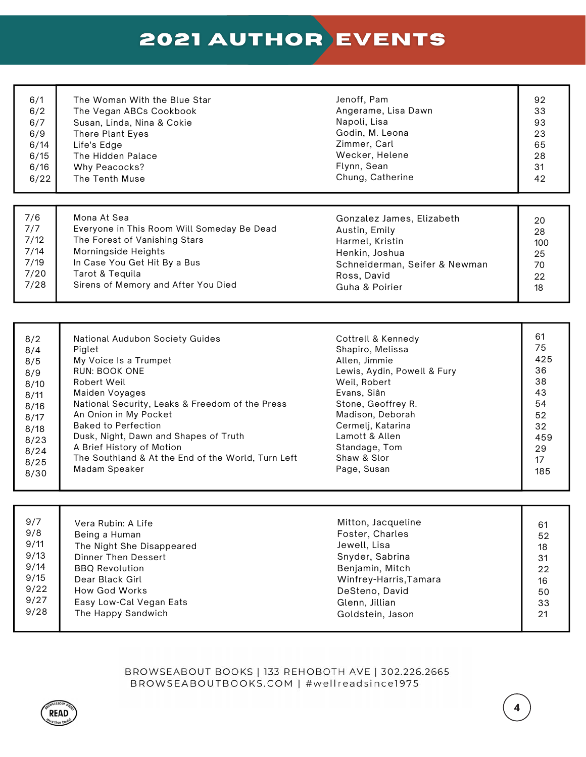| 6/1  | The Woman With the Blue Star | Jenoff, Pam         | 92 |
|------|------------------------------|---------------------|----|
| 6/2  | The Vegan ABCs Cookbook      | Angerame, Lisa Dawn | 33 |
| 6/7  | Susan, Linda, Nina & Cokie   | Napoli, Lisa        | 93 |
| 6/9  | There Plant Eyes             | Godin, M. Leona     | 23 |
| 6/14 | Life's Edge                  | Zimmer, Carl        | 65 |
| 6/15 | The Hidden Palace            | Wecker, Helene      | 28 |
| 6/16 | Why Peacocks?                | Flynn, Sean         | 31 |
| 6/22 | The Tenth Muse               | Chung, Catherine    | 42 |
|      |                              |                     |    |
|      |                              |                     |    |
|      |                              |                     |    |

| 7/6  | Mona At Sea                                | Gonzalez James, Elizabeth     | 20  |
|------|--------------------------------------------|-------------------------------|-----|
| 7/7  | Everyone in This Room Will Someday Be Dead | Austin, Emily                 | 28  |
| 7/12 | The Forest of Vanishing Stars              | Harmel, Kristin               | 100 |
| 7/14 | Morningside Heights                        | Henkin, Joshua                | 25  |
| 7/19 | In Case You Get Hit By a Bus               | Schneiderman, Seifer & Newman | 70  |
| 7/20 | Tarot & Teguila                            | Ross, David                   | 22  |
| 7/28 | Sirens of Memory and After You Died        | Guha & Poirier                | 18  |

| 8/2  | National Audubon Society Guides                    | Cottrell & Kennedy          | 61  |
|------|----------------------------------------------------|-----------------------------|-----|
| 8/4  | Piglet                                             | Shapiro, Melissa            | 75  |
| 8/5  | My Voice Is a Trumpet                              | Allen, Jimmie               | 425 |
| 8/9  | <b>RUN: BOOK ONE</b>                               | Lewis, Aydin, Powell & Fury | 36  |
| 8/10 | Robert Weil                                        | Weil, Robert                | 38  |
| 8/11 | Maiden Voyages                                     | Evans, Siân                 | 43  |
| 8/16 | National Security, Leaks & Freedom of the Press    | Stone, Geoffrey R.          | 54  |
| 8/17 | An Onion in My Pocket                              | Madison, Deborah            | 52  |
| 8/18 | <b>Baked to Perfection</b>                         | Cermelj, Katarina           | 32  |
| 8/23 | Dusk, Night, Dawn and Shapes of Truth              | Lamott & Allen              | 459 |
| 8/24 | A Brief History of Motion                          | Standage, Tom               | 29  |
| 8/25 | The Southland & At the End of the World, Turn Left | Shaw & Slor                 | 17  |
| 8/30 | Madam Speaker                                      | Page, Susan                 | 185 |

| 9/7<br>Vera Rubin: A Life<br>9/8<br>Being a Human<br>9/11<br>The Night She Disappeared<br>9/13<br>Dinner Then Dessert<br>9/14<br><b>BBO Revolution</b><br>9/15<br>Dear Black Girl<br>9/22<br>How God Works<br>9/27<br>Easy Low-Cal Vegan Eats<br>9/28<br>The Happy Sandwich | Mitton, Jacqueline<br>Foster, Charles<br>Jewell, Lisa<br>Snyder, Sabrina<br>Benjamin, Mitch<br>Winfrey-Harris, Tamara<br>DeSteno, David<br>Glenn, Jillian<br>Goldstein, Jason | 61<br>52<br>18<br>31<br>22<br>16<br>50<br>33<br>21 |
|-----------------------------------------------------------------------------------------------------------------------------------------------------------------------------------------------------------------------------------------------------------------------------|-------------------------------------------------------------------------------------------------------------------------------------------------------------------------------|----------------------------------------------------|
|-----------------------------------------------------------------------------------------------------------------------------------------------------------------------------------------------------------------------------------------------------------------------------|-------------------------------------------------------------------------------------------------------------------------------------------------------------------------------|----------------------------------------------------|

### BROWSEABOUT BOOKS | 133 REHOBOTH AVE | 302.226.2665 BROWSEABOUTBOOKS.COM | #wellreadsince1975

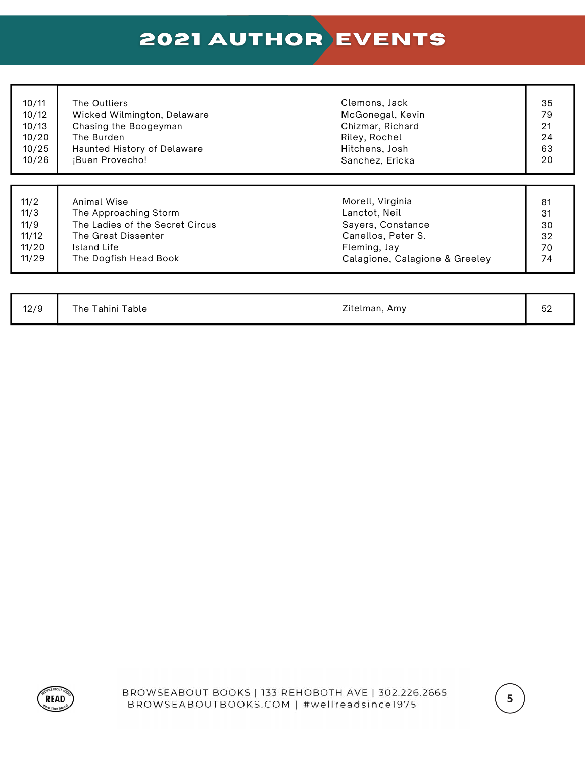| 10/11 | The Outliers                    | Clemons, Jack                  | 35 |
|-------|---------------------------------|--------------------------------|----|
| 10/12 | Wicked Wilmington, Delaware     | McGonegal, Kevin               | 79 |
| 10/13 | Chasing the Boogeyman           | Chizmar, Richard               | 21 |
| 10/20 | The Burden                      | Riley, Rochel                  | 24 |
| 10/25 | Haunted History of Delaware     | Hitchens, Josh                 | 63 |
| 10/26 | ¡Buen Provecho!                 | Sanchez, Ericka                | 20 |
| 11/2  | Animal Wise                     | Morell, Virginia               | 81 |
| 11/3  | The Approaching Storm           | Lanctot, Neil                  | 31 |
| 11/9  | The Ladies of the Secret Circus | Sayers, Constance              | 30 |
| 11/12 | The Great Dissenter             | Canellos, Peter S.             | 32 |
| 11/20 | Island Life                     | Fleming, Jay                   | 70 |
| 11/29 | The Dogfish Head Book           | Calagione, Calagione & Greeley | 74 |

| 12/9 | The Tahini Table | Zitelman, Amy | БQ<br>$\sim$ |
|------|------------------|---------------|--------------|
|      |                  |               |              |



 $\overline{\mathbf{5}}$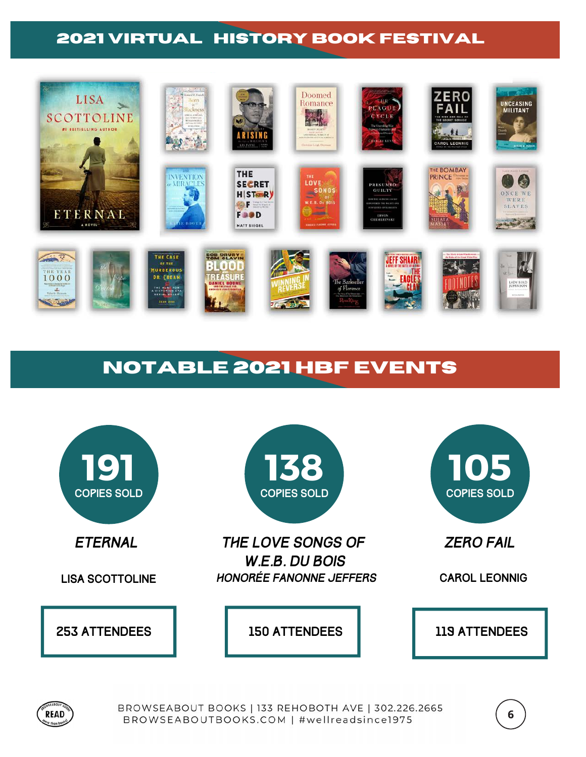### **2021 VIRTUAL HISTORY BOOK FESTIVAL**



## **NOTABLE 2021 HBF EVENTS**